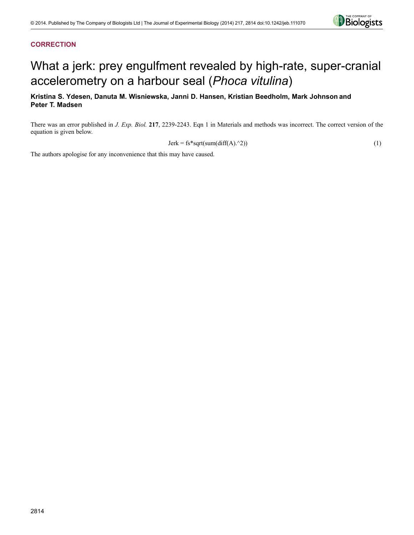

## **CORRECTION**

# What a jerk: prey engulfment revealed by high-rate, super-cranial accelerometry on a harbour seal (*Phoca vitulina*)

## **Kristina S. Ydesen, Danuta M. Wisniewska, Janni D. Hansen, Kristian Beedholm, Mark Johnson and Peter T. Madsen**

There was an error published in *J. Exp. Biol.* **217**, 2239-2243. Eqn 1 in Materials and methods was incorrect. The correct version of the equation is given below.

$$
Jerk = fs * sqrt(sum(diff(A).^2))
$$
\n(1)

The authors apologise for any inconvenience that this may have caused.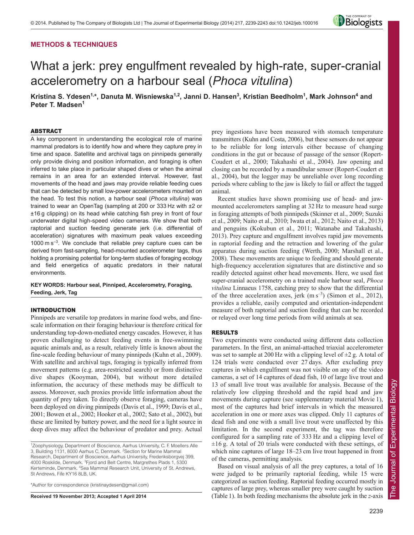## **METHODS & TECHNIQUES**



## What a jerk: prey engulfment revealed by high-rate, super-cranial accelerometry on a harbour seal (*Phoca vitulina*)

**Kristina S. Ydesen1,\*, Danuta M. Wisniewska1,2, Janni D. Hansen3 , Kristian Beedholm1 , Mark Johnson4 and Peter T. Madsen<sup>1</sup>**

## ABSTRACT

A key component in understanding the ecological role of marine mammal predators is to identify how and where they capture prey in time and space. Satellite and archival tags on pinnipeds generally only provide diving and position information, and foraging is often inferred to take place in particular shaped dives or when the animal remains in an area for an extended interval. However, fast movements of the head and jaws may provide reliable feeding cues that can be detected by small low-power accelerometers mounted on the head. To test this notion, a harbour seal (*Phoca vitulina*) was trained to wear an OpenTag (sampling at 200 or 333 Hz with ±2 or ±16 g clipping) on its head while catching fish prey in front of four underwater digital high-speed video cameras. We show that both raptorial and suction feeding generate jerk (i.e. differential of acceleration) signatures with maximum peak values exceeding 1000 m  $s^{-3}$ . We conclude that reliable prey capture cues can be derived from fast-sampling, head-mounted accelerometer tags, thus holding a promising potential for long-term studies of foraging ecology and field energetics of aquatic predators in their natural environments.

**KEY WORDS: Harbour seal, Pinniped, Accelerometry, Foraging, Feeding, Jerk, Tag**

## INTRODUCTION

Pinnipeds are versatile top predators in marine food webs, and finescale information on their foraging behaviour is therefore critical for understanding top-down-mediated energy cascades. However, it has proven challenging to detect feeding events in free-swimming aquatic animals and, as a result, relatively little is known about the fine-scale feeding behaviour of many pinnipeds (Kuhn et al., 2009). With satellite and archival tags, foraging is typically inferred from movement patterns (e.g. area-restricted search) or from distinctive dive shapes (Kooyman, 2004), but without more detailed information, the accuracy of these methods may be difficult to assess. Moreover, such proxies provide little information about the quantity of prey taken. To directly observe foraging, cameras have been deployed on diving pinnipeds (Davis et al., 1999; Davis et al., 2001; Bowen et al., 2002; Hooker et al., 2002; Sato et al., 2002), but these are limited by battery power, and the need for a light source in deep dives may affect the behaviour of predator and prey. Actual

\*Author for correspondence (kristinaydesen@gmail.com)

**Received 19 November 2013; Accepted 1 April 2014**

prey ingestions have been measured with stomach temperature transmitters (Kuhn and Costa, 2006), but these sensors do not appear to be reliable for long intervals either because of changing conditions in the gut or because of passage of the sensor (Ropert-Coudert et al., 2000; Takahashi et al., 2004). Jaw opening and closing can be recorded by a mandibular sensor (Ropert-Coudert et al., 2004), but the logger may be unreliable over long recording periods where cabling to the jaw is likely to fail or affect the tagged animal.

Recent studies have shown promising use of head- and jawmounted accelerometers sampling at 32 Hz to measure head surge in foraging attempts of both pinnipeds (Skinner et al., 2009; Suzuki et al., 2009; Naito et al., 2010; Iwata et al., 2012; Naito et al., 2013) and penguins (Kokubun et al., 2011; Watanabe and Takahashi, 2013). Prey capture and engulfment involves rapid jaw movements in raptorial feeding and the retraction and lowering of the gular apparatus during suction feeding (Werth, 2000; Marshall et al., 2008). These movements are unique to feeding and should generate high-frequency acceleration signatures that are distinctive and so readily detected against other head movements. Here, we used fast super-cranial accelerometry on a trained male harbour seal, *Phoca vitulina* Linnaeus 1758, catching prey to show that the differential of the three acceleration axes, jerk  $(m s^{-3})$  (Simon et al., 2012), provides a reliable, easily computed and orientation-independent measure of both raptorial and suction feeding that can be recorded or relayed over long time periods from wild animals at sea.

## RESULTS

Two experiments were conducted using different data collection parameters. In the first, an animal-attached triaxial accelerometer was set to sample at 200 Hz with a clipping level of  $\pm 2$  g. A total of 124 trials were conducted over 27 days. After excluding prey captures in which engulfment was not visible on any of the video cameras, a set of 14 captures of dead fish, 10 of large live trout and 13 of small live trout was available for analysis. Because of the relatively low clipping threshold and the rapid head and jaw movements during capture (see supplementary material Movie 1), most of the captures had brief intervals in which the measured acceleration in one or more axes was clipped. Only 11 captures of dead fish and one with a small live trout were unaffected by this limitation. In the second experiment, the tag was therefore configured for a sampling rate of 333 Hz and a clipping level of  $\pm 16$  g. A total of 20 trials were conducted with these settings, of which nine captures of large 18–23 cm live trout happened in front of the cameras, permitting analysis.

Based on visual analysis of all the prey captures, a total of 16 were judged to be primarily raptorial feeding, while 15 were categorized as suction feeding. Raptorial feeding occurred mostly in captures of large prey, whereas smaller prey were caught by suction (Table 1). In both feeding mechanisms the absolute jerk in the *z*-axis

<sup>&</sup>lt;sup>1</sup> Zoophysiology, Department of Bioscience, Aarhus University, C. F. Moellers Alle 3, Building 1131, 8000 Aarhus C, Denmark. <sup>2</sup> Section for Marine Mammal Research, Department of Bioscience, Aarhus University, Frederiksborgvej 399, 4000 Roskilde, Denmark. <sup>3</sup> Fjord and Belt Centre, Margrethes Plads 1, 5300 Kerteminde, Denmark. <sup>4</sup>Sea Mammal Research Unit, University of St. Andrews, St Andrews, Fife KY16 8LB, UK.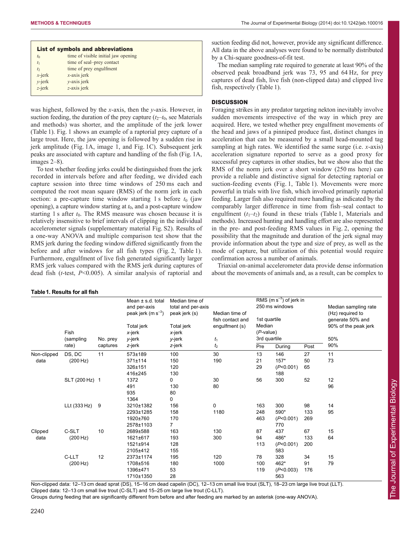| List of symbols and abbreviations |                                     |  |  |  |  |  |  |
|-----------------------------------|-------------------------------------|--|--|--|--|--|--|
| $t_0$                             | time of visible initial jaw opening |  |  |  |  |  |  |
| $t_1$                             | time of seal-prey contact           |  |  |  |  |  |  |
| t <sub>2</sub>                    | time of prey engulfment             |  |  |  |  |  |  |
| $x$ -jerk                         | $x$ -axis jerk                      |  |  |  |  |  |  |
| $v$ -jerk                         | $v$ -axis jerk                      |  |  |  |  |  |  |
| $z$ -jerk                         | z-axis jerk                         |  |  |  |  |  |  |

was highest, followed by the *x*-axis, then the *y*-axis. However, in suction feeding, the duration of the prey capture  $(t_2-t_0)$ , see Materials and methods) was shorter, and the amplitude of the jerk lower (Table 1). Fig. 1 shows an example of a raptorial prey capture of a large trout. Here, the jaw opening is followed by a sudden rise in jerk amplitude (Fig. 1A, image 1, and Fig. 1C). Subsequent jerk peaks are associated with capture and handling of the fish (Fig. 1A, images 2–8).

To test whether feeding jerks could be distinguished from the jerk recorded in intervals before and after feeding, we divided each capture session into three time windows of 250 ms each and computed the root mean square (RMS) of the norm jerk in each section: a pre-capture time window starting 1 s before  $t_0$  (jaw opening), a capture window starting at *t*0, and a post-capture window starting 1 s after  $t_0$ . The RMS measure was chosen because it is relatively insensitive to brief intervals of clipping in the individual accelerometer signals (supplementary material Fig. S2). Results of a one-way ANOVA and multiple comparison test show that the RMS jerk during the feeding window differed significantly from the before and after windows for all fish types (Fig. 2, Table 1). Furthermore, engulfment of live fish generated significantly larger RMS jerk values compared with the RMS jerk during captures of dead fish (*t*-test, *P*<0.005). A similar analysis of raptorial and

## **Table1. Results for all fish**

suction feeding did not, however, provide any significant difference. All data in the above analyses were found to be normally distributed by a Chi-square goodness-of-fit test.

The median sampling rate required to generate at least 90% of the observed peak broadband jerk was 73, 95 and 64 Hz, for prey captures of dead fish, live fish (non-clipped data) and clipped live fish, respectively (Table 1).

## **DISCUSSION**

Foraging strikes in any predator targeting nekton inevitably involve sudden movements irrespective of the way in which prey are acquired. Here, we tested whether prey engulfment movements of the head and jaws of a pinniped produce fast, distinct changes in acceleration that can be measured by a small head-mounted tag sampling at high rates. We identified the same surge (i.e. *x*-axis) acceleration signature reported to serve as a good proxy for successful prey captures in other studies, but we show also that the RMS of the norm jerk over a short window (250 ms here) can provide a reliable and distinctive signal for detecting raptorial or suction-feeding events (Fig. 1, Table 1). Movements were more powerful in trials with live fish, which involved primarily raptorial feeding. Larger fish also required more handling as indicated by the comparably larger difference in time from fish–seal contact to engulfment  $(t_1-t_2)$  found in these trials (Table 1, Materials and methods). Increased hunting and handling effort are also represented in the pre- and post-feeding RMS values in Fig. 2, opening the possibility that the magnitude and duration of the jerk signal may provide information about the type and size of prey, as well as the mode of capture, but utilization of this potential would require confirmation across a number of animals.

Triaxial on-animal accelerometer data provide dense information about the movements of animals and, as a result, can be complex to

|             | Fish<br>(sampling | No. prey<br>captures | Mean $\pm$ s.d. total<br>and per-axis<br>peak jerk $(m s^{-3})$<br>Total jerk<br>x-jerk<br>y-jerk | Median time of<br>total and per-axis<br>peak jerk (s)<br>Total jerk<br>x-jerk<br>y-jerk | Median time of<br>fish contact and<br>engulfment (s)<br>$t_1$ | RMS $(m s^{-3})$ of jerk in<br>250 ms windows<br>1st quartile<br>Median<br>$(P-value)$<br>3rd quartile |                          |            | Median sampling rate<br>(Hz) required to<br>generate 50% and<br>90% of the peak jerk<br>50% |     |
|-------------|-------------------|----------------------|---------------------------------------------------------------------------------------------------|-----------------------------------------------------------------------------------------|---------------------------------------------------------------|--------------------------------------------------------------------------------------------------------|--------------------------|------------|---------------------------------------------------------------------------------------------|-----|
|             | rate)             |                      |                                                                                                   | z-jerk                                                                                  | z-jerk                                                        | $t_{2}$                                                                                                | Pre                      | During     | Post                                                                                        | 90% |
| Non-clipped | DS, DC            | 11                   | 573±189                                                                                           | 100                                                                                     | 30                                                            | 13                                                                                                     | 146                      | 27         | 11                                                                                          |     |
| data        | (200 Hz)          |                      | 371±114                                                                                           | 150                                                                                     | 190                                                           | 21                                                                                                     | $157*$                   | 50         | 73                                                                                          |     |
|             |                   |                      | 326±151<br>416±245                                                                                | 120<br>130                                                                              |                                                               | 29                                                                                                     | (P<0.001)<br>188         | 65         |                                                                                             |     |
|             | SLT (200 Hz) 1    |                      | 1372                                                                                              | 0                                                                                       | 30                                                            | 56                                                                                                     | 300                      | 52         | 12                                                                                          |     |
|             |                   |                      | 491<br>935<br>1364                                                                                | 130<br>80<br>0                                                                          | 80                                                            |                                                                                                        |                          |            | 96                                                                                          |     |
|             | LLt (333 Hz) 9    |                      | 3210±1382                                                                                         | 156                                                                                     | 0                                                             | 163                                                                                                    | 300                      | 98         | 14                                                                                          |     |
|             |                   |                      | 2293±1285<br>1920±760<br>2578±1103                                                                | 158<br>170<br>$\overline{7}$                                                            | 1180                                                          | 248<br>463                                                                                             | 590*<br>(P<0.001)<br>770 | 133<br>269 | 95                                                                                          |     |
| Clipped     | C-SLT             | 10                   | 2689±588                                                                                          | 163                                                                                     | 130                                                           | 87                                                                                                     | 437                      | 67         | 15                                                                                          |     |
| data        | (200 Hz)          |                      | 1621±617<br>1521±914<br>2105±412                                                                  | 193<br>128<br>155                                                                       | 300                                                           | 94<br>113                                                                                              | 486*<br>(P<0.001)<br>583 | 133<br>200 | 64                                                                                          |     |
|             | C-LLT             | 12                   | 2373±1174                                                                                         | 195                                                                                     | 120                                                           | 78                                                                                                     | 328                      | 34         | 15                                                                                          |     |
|             | (200 Hz)          |                      | 1708±516<br>1396±471<br>1710±1350                                                                 | 180<br>53<br>28                                                                         | 1000                                                          | 100<br>119                                                                                             | 462*<br>(P<0.003)<br>563 | 91<br>176  | 79                                                                                          |     |

Non-clipped data: 12–13 cm dead sprat (DS), 15–16 cm dead capelin (DC), 12–13 cm small live trout (SLT), 18–23 cm large live trout (LLT). Clipped data: 12–13 cm small live trout (C-SLT) and 15–25 cm large live trout (C-LLT).

Groups during feeding that are significantly different from before and after feeding are marked by an asterisk (one-way ANOVA).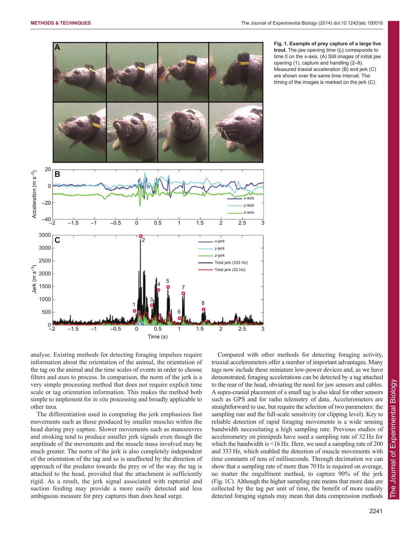

**Fig. 1. Example of prey capture of a large live trout.** The jaw opening time  $(t_0)$  corresponds to time 0 on the *x*-axis. (A) Still images of initial jaw opening (1), capture and handling (2–8). Measured triaxial acceleration (B) and jerk (C) are shown over the same time interval. The timing of the images is marked on the jerk (C).

analyse. Existing methods for detecting foraging impulses require information about the orientation of the animal, the orientation of the tag on the animal and the time scales of events in order to choose filters and axes to process. In comparison, the norm of the jerk is a very simple processing method that does not require explicit time scale or tag orientation information. This makes the method both simple to implement for *in situ* processing and broadly applicable to other taxa.

The differentiation used in computing the jerk emphasizes fast movements such as those produced by smaller muscles within the head during prey capture. Slower movements such as manoeuvres and stroking tend to produce smaller jerk signals even though the amplitude of the movements and the muscle mass involved may be much greater. The norm of the jerk is also completely independent of the orientation of the tag and so is unaffected by the direction of approach of the predator towards the prey or of the way the tag is attached to the head, provided that the attachment is sufficiently rigid. As a result, the jerk signal associated with raptorial and suction feeding may provide a more easily detected and less ambiguous measure for prey captures than does head surge.

Compared with other methods for detecting foraging activity, triaxial accelerometers offer a number of important advantages. Many tags now include these miniature low-power devices and, as we have demonstrated, foraging accelerations can be detected by a tag attached to the rear of the head, obviating the need for jaw sensors and cables. A supra-cranial placement of a small tag is also ideal for other sensors such as GPS and for radio telemetry of data. Accelerometers are straightforward to use, but require the selection of two parameters: the sampling rate and the full-scale sensitivity (or clipping level). Key to reliable detection of rapid foraging movements is a wide sensing bandwidth necessitating a high sampling rate. Previous studies of accelerometry on pinnipeds have used a sampling rate of 32 Hz for which the bandwidth is <16 Hz. Here, we used a sampling rate of 200 and 333 Hz, which enabled the detection of muscle movements with time constants of tens of milliseconds. Through decimation we can show that a sampling rate of more than 70 Hz is required on average, no matter the engulfment method, to capture 90% of the jerk (Fig. 1C). Although the higher sampling rate means that more data are collected by the tag per unit of time, the benefit of more readily detected foraging signals may mean that data compression methods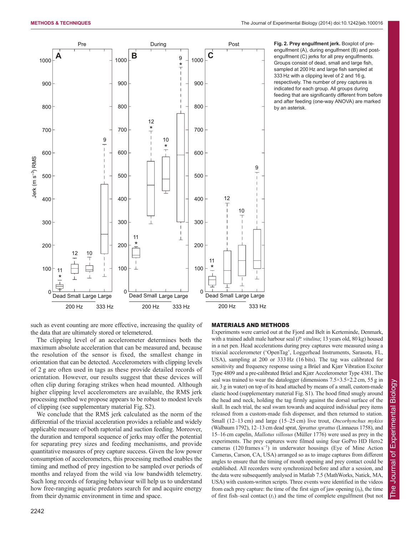

engulfment (A), during engulfment (B) and postengulfment (C) jerks for all prey engulfments. Groups consist of dead, small and large fish, sampled at 200 Hz and large fish sampled at 333 Hz with a clipping level of 2 and 16 g, respectively. The number of prey captures is indicated for each group. All groups during feeding that are significantly different from before and after feeding (one-way ANOVA) are marked by an asterisk.

**Fig. 2. Prey engulfment jerk.** Boxplot of pre-

such as event counting are more effective, increasing the quality of the data that are ultimately stored or telemetered.

The clipping level of an accelerometer determines both the maximum absolute acceleration that can be measured and, because the resolution of the sensor is fixed, the smallest change in orientation that can be detected. Accelerometers with clipping levels of 2 g are often used in tags as these provide detailed records of orientation. However, our results suggest that these devices will often clip during foraging strikes when head mounted. Although higher clipping level accelerometers are available, the RMS jerk processing method we propose appears to be robust to modest levels of clipping (see supplementary material Fig. S2).

We conclude that the RMS jerk calculated as the norm of the differential of the triaxial acceleration provides a reliable and widely applicable measure of both raptorial and suction feeding. Moreover, the duration and temporal sequence of jerks may offer the potential for separating prey sizes and feeding mechanisms, and provide quantitative measures of prey capture success. Given the low power consumption of accelerometers, this processing method enables the timing and method of prey ingestion to be sampled over periods of months and relayed from the wild via low bandwidth telemetry. Such long records of foraging behaviour will help us to understand how free-ranging aquatic predators search for and acquire energy from their dynamic environment in time and space.

## MATERIALS AND METHODS

Experiments were carried out at the Fjord and Belt in Kerteminde, Denmark, with a trained adult male harbour seal (*P. vitulina*; 13 years old, 80 kg) housed in a net pen. Head accelerations during prey captures were measured using a triaxial accelerometer ('OpenTag', Loggerhead Instruments, Sarasota, FL, USA), sampling at 200 or 333 Hz (16 bits). The tag was calibrated for sensitivity and frequency response using a Brüel and Kjær Vibration Exciter Type 4809 and a pre-calibrated Brüel and Kjær Accelerometer Type 4381. The seal was trained to wear the datalogger (dimensions  $7.5 \times 3.5 \times 2.2$  cm, 55 g in air, 3 g in water) on top of its head attached by means of a small, custom-made elastic hood (supplementary material Fig. S1). The hood fitted snugly around the head and neck, holding the tag firmly against the dorsal surface of the skull. In each trial, the seal swam towards and acquired individual prey items released from a custom-made fish dispenser, and then returned to station. Small (12–13 cm) and large (15–25 cm) live trout, *Oncorhynchus mykiss* (Walbaum 1792), 12–13 cm dead sprat, *Sprattus sprattus* (Linnaeus 1758), and 15–16 cm capelin, *Mallotus villosus* (Müller 1776) were used as prey in the experiments. The prey captures were filmed using four GoPro HD Hero2 cameras (120 frames s<sup>-1</sup>) in underwater housings (Eye of Mine Action Cameras, Carson, CA, USA) arranged so as to image captures from different angles to ensure that the timing of mouth opening and prey contact could be established. All recorders were synchronized before and after a session, and the data were subsequently analysed in Matlab 7.5 (MathWorks, Natick, MA, USA) with custom-written scripts. Three events were identified in the videos from each prey capture: the time of the first sign of jaw opening  $(t_0)$ , the time of first fish–seal contact  $(t_1)$  and the time of complete engulfment (but not